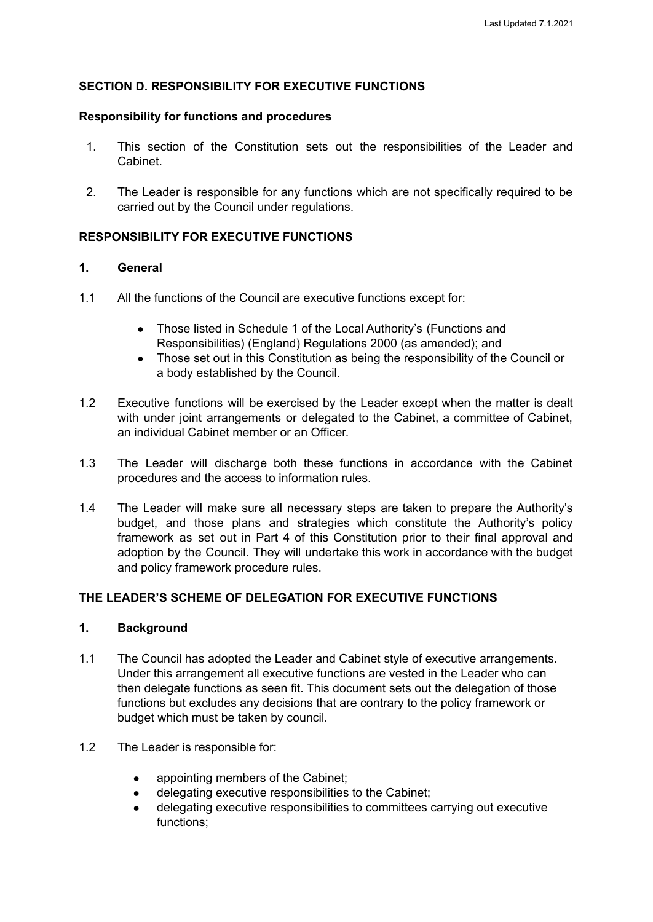#### **SECTION D. RESPONSIBILITY FOR EXECUTIVE FUNCTIONS**

#### **Responsibility for functions and procedures**

- 1. This section of the Constitution sets out the responsibilities of the Leader and Cabinet.
- 2. The Leader is responsible for any functions which are not specifically required to be carried out by the Council under regulations.

#### **RESPONSIBILITY FOR EXECUTIVE FUNCTIONS**

#### **1. General**

- 1.1 All the functions of the Council are executive functions except for:
	- Those listed in Schedule 1 of the Local Authority's (Functions and Responsibilities) (England) Regulations 2000 (as amended); and
	- Those set out in this Constitution as being the responsibility of the Council or a body established by the Council.
- 1.2 Executive functions will be exercised by the Leader except when the matter is dealt with under joint arrangements or delegated to the Cabinet, a committee of Cabinet, an individual Cabinet member or an Officer.
- 1.3 The Leader will discharge both these functions in accordance with the Cabinet procedures and the access to information rules.
- 1.4 The Leader will make sure all necessary steps are taken to prepare the Authority's budget, and those plans and strategies which constitute the Authority's policy framework as set out in Part 4 of this Constitution prior to their final approval and adoption by the Council. They will undertake this work in accordance with the budget and policy framework procedure rules.

#### **THE LEADER'S SCHEME OF DELEGATION FOR EXECUTIVE FUNCTIONS**

#### **1. Background**

- 1.1 The Council has adopted the Leader and Cabinet style of executive arrangements. Under this arrangement all executive functions are vested in the Leader who can then delegate functions as seen fit. This document sets out the delegation of those functions but excludes any decisions that are contrary to the policy framework or budget which must be taken by council.
- 1.2 The Leader is responsible for:
	- appointing members of the Cabinet:
	- delegating executive responsibilities to the Cabinet:
	- delegating executive responsibilities to committees carrying out executive functions;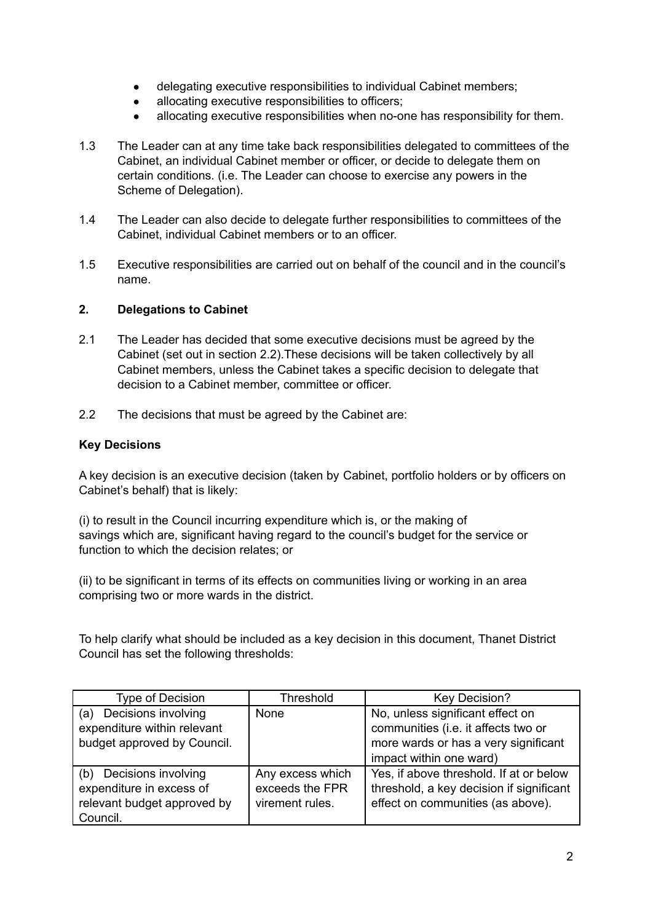- delegating executive responsibilities to individual Cabinet members;
- allocating executive responsibilities to officers;
- allocating executive responsibilities when no-one has responsibility for them.
- 1.3 The Leader can at any time take back responsibilities delegated to committees of the Cabinet, an individual Cabinet member or officer, or decide to delegate them on certain conditions. (i.e. The Leader can choose to exercise any powers in the Scheme of Delegation).
- 1.4 The Leader can also decide to delegate further responsibilities to committees of the Cabinet, individual Cabinet members or to an officer.
- 1.5 Executive responsibilities are carried out on behalf of the council and in the council's name.

#### **2. Delegations to Cabinet**

- 2.1 The Leader has decided that some executive decisions must be agreed by the Cabinet (set out in section 2.2).These decisions will be taken collectively by all Cabinet members, unless the Cabinet takes a specific decision to delegate that decision to a Cabinet member, committee or officer.
- 2.2 The decisions that must be agreed by the Cabinet are:

## **Key Decisions**

A key decision is an executive decision (taken by Cabinet, portfolio holders or by officers on Cabinet's behalf) that is likely:

(i) to result in the Council incurring expenditure which is, or the making of savings which are, significant having regard to the council's budget for the service or function to which the decision relates; or

(ii) to be significant in terms of its effects on communities living or working in an area comprising two or more wards in the district.

To help clarify what should be included as a key decision in this document, Thanet District Council has set the following thresholds:

| <b>Type of Decision</b>     | Threshold        | <b>Key Decision?</b>                     |
|-----------------------------|------------------|------------------------------------------|
| Decisions involving<br>(a)  | None             | No, unless significant effect on         |
| expenditure within relevant |                  | communities (i.e. it affects two or      |
| budget approved by Council. |                  | more wards or has a very significant     |
|                             |                  | impact within one ward)                  |
| Decisions involving<br>(b)  | Any excess which | Yes, if above threshold. If at or below  |
| expenditure in excess of    | exceeds the FPR  | threshold, a key decision if significant |
| relevant budget approved by | virement rules.  | effect on communities (as above).        |
| Council.                    |                  |                                          |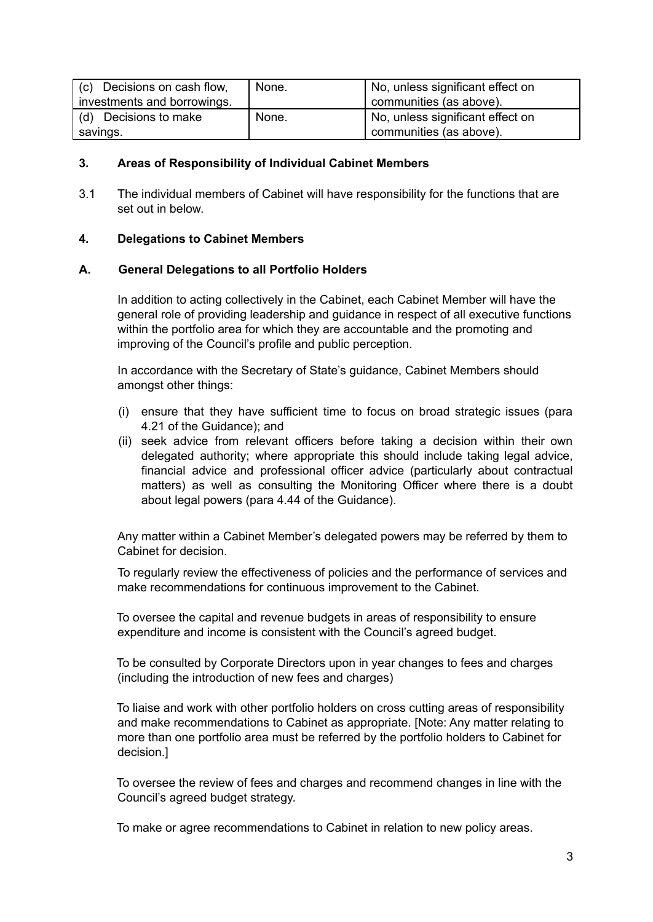| (c) Decisions on cash flow, | None. | No, unless significant effect on |
|-----------------------------|-------|----------------------------------|
| investments and borrowings. |       | communities (as above).          |
| (d) Decisions to make       | None. | No, unless significant effect on |
| savings.                    |       | communities (as above).          |

#### **3. Areas of Responsibility of Individual Cabinet Members**

3.1 The individual members of Cabinet will have responsibility for the functions that are set out in below.

#### **4. Delegations to Cabinet Members**

#### **A. General Delegations to all Portfolio Holders**

In addition to acting collectively in the Cabinet, each Cabinet Member will have the general role of providing leadership and guidance in respect of all executive functions within the portfolio area for which they are accountable and the promoting and improving of the Council's profile and public perception.

In accordance with the Secretary of State's guidance, Cabinet Members should amongst other things:

- (i) ensure that they have sufficient time to focus on broad strategic issues (para 4.21 of the Guidance); and
- (ii) seek advice from relevant officers before taking a decision within their own delegated authority; where appropriate this should include taking legal advice, financial advice and professional officer advice (particularly about contractual matters) as well as consulting the Monitoring Officer where there is a doubt about legal powers (para 4.44 of the Guidance).

Any matter within a Cabinet Member's delegated powers may be referred by them to Cabinet for decision.

To regularly review the effectiveness of policies and the performance of services and make recommendations for continuous improvement to the Cabinet.

To oversee the capital and revenue budgets in areas of responsibility to ensure expenditure and income is consistent with the Council's agreed budget.

To be consulted by Corporate Directors upon in year changes to fees and charges (including the introduction of new fees and charges)

To liaise and work with other portfolio holders on cross cutting areas of responsibility and make recommendations to Cabinet as appropriate. [Note: Any matter relating to more than one portfolio area must be referred by the portfolio holders to Cabinet for decision.]

To oversee the review of fees and charges and recommend changes in line with the Council's agreed budget strategy.

To make or agree recommendations to Cabinet in relation to new policy areas.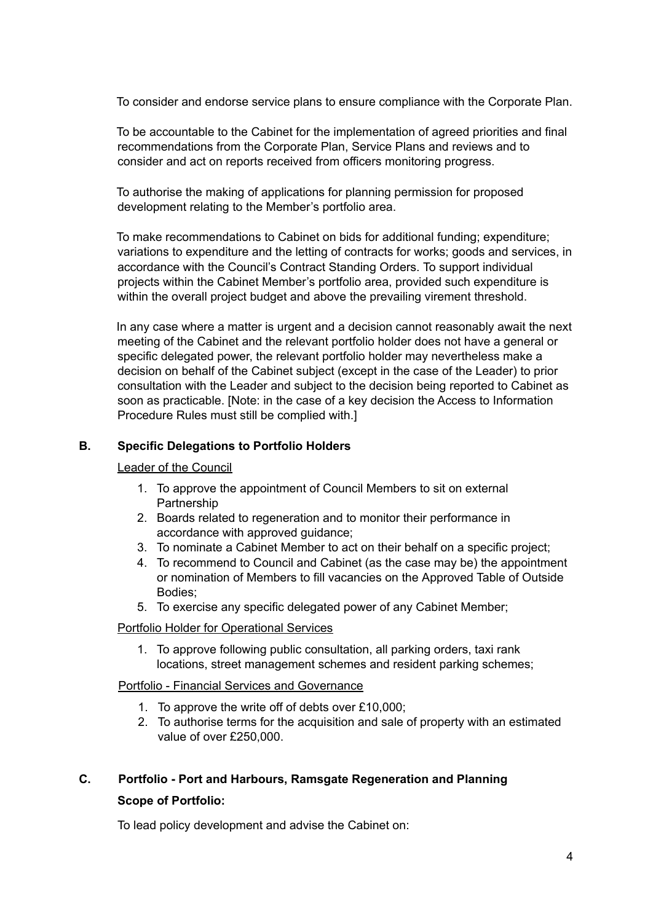To consider and endorse service plans to ensure compliance with the Corporate Plan.

To be accountable to the Cabinet for the implementation of agreed priorities and final recommendations from the Corporate Plan, Service Plans and reviews and to consider and act on reports received from officers monitoring progress.

To authorise the making of applications for planning permission for proposed development relating to the Member's portfolio area.

To make recommendations to Cabinet on bids for additional funding; expenditure; variations to expenditure and the letting of contracts for works; goods and services, in accordance with the Council's Contract Standing Orders. To support individual projects within the Cabinet Member's portfolio area, provided such expenditure is within the overall project budget and above the prevailing virement threshold.

In any case where a matter is urgent and a decision cannot reasonably await the next meeting of the Cabinet and the relevant portfolio holder does not have a general or specific delegated power, the relevant portfolio holder may nevertheless make a decision on behalf of the Cabinet subject (except in the case of the Leader) to prior consultation with the Leader and subject to the decision being reported to Cabinet as soon as practicable. [Note: in the case of a key decision the Access to Information Procedure Rules must still be complied with.]

## **B. Specific Delegations to Portfolio Holders**

Leader of the Council

- 1. To approve the appointment of Council Members to sit on external Partnership
- 2. Boards related to regeneration and to monitor their performance in accordance with approved guidance;
- 3. To nominate a Cabinet Member to act on their behalf on a specific project;
- 4. To recommend to Council and Cabinet (as the case may be) the appointment or nomination of Members to fill vacancies on the Approved Table of Outside Bodies;
- 5. To exercise any specific delegated power of any Cabinet Member;

#### Portfolio Holder for Operational Services

1. To approve following public consultation, all parking orders, taxi rank locations, street management schemes and resident parking schemes;

#### Portfolio - Financial Services and Governance

- 1. To approve the write off of debts over £10,000;
- 2. To authorise terms for the acquisition and sale of property with an estimated value of over £250,000.

# **C. Portfolio - Port and Harbours, Ramsgate Regeneration and Planning**

## **Scope of Portfolio:**

To lead policy development and advise the Cabinet on: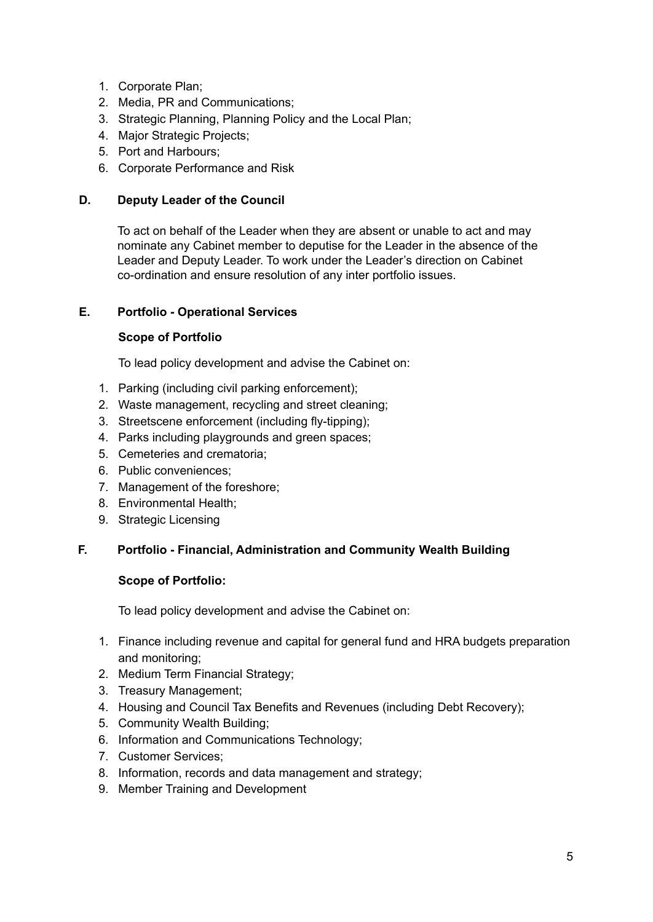- 1. Corporate Plan;
- 2. Media, PR and Communications;
- 3. Strategic Planning, Planning Policy and the Local Plan;
- 4. Major Strategic Projects;
- 5. Port and Harbours;
- 6. Corporate Performance and Risk

# **D. Deputy Leader of the Council**

To act on behalf of the Leader when they are absent or unable to act and may nominate any Cabinet member to deputise for the Leader in the absence of the Leader and Deputy Leader. To work under the Leader's direction on Cabinet co-ordination and ensure resolution of any inter portfolio issues.

## **E. Portfolio - Operational Services**

## **Scope of Portfolio**

To lead policy development and advise the Cabinet on:

- 1. Parking (including civil parking enforcement);
- 2. Waste management, recycling and street cleaning;
- 3. Streetscene enforcement (including fly-tipping);
- 4. Parks including playgrounds and green spaces;
- 5. Cemeteries and crematoria;
- 6. Public conveniences;
- 7. Management of the foreshore;
- 8. Environmental Health;
- 9. Strategic Licensing

# **F. Portfolio - Financial, Administration and Community Wealth Building**

#### **Scope of Portfolio:**

To lead policy development and advise the Cabinet on:

- 1. Finance including revenue and capital for general fund and HRA budgets preparation and monitoring;
- 2. Medium Term Financial Strategy;
- 3. Treasury Management;
- 4. Housing and Council Tax Benefits and Revenues (including Debt Recovery);
- 5. Community Wealth Building;
- 6. Information and Communications Technology;
- 7. Customer Services;
- 8. Information, records and data management and strategy;
- 9. Member Training and Development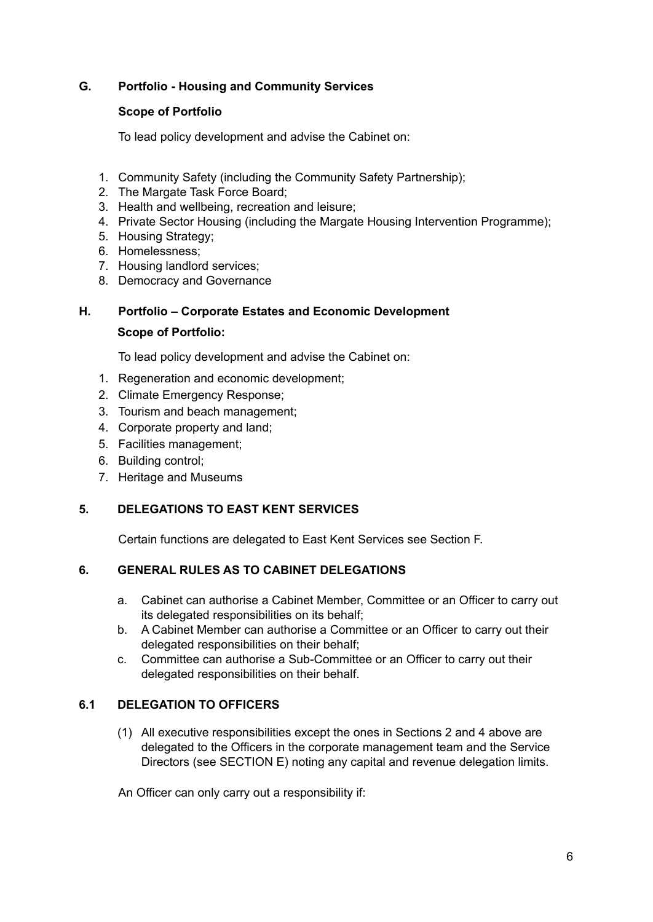## **G. Portfolio - Housing and Community Services**

### **Scope of Portfolio**

To lead policy development and advise the Cabinet on:

- 1. Community Safety (including the Community Safety Partnership);
- 2. The Margate Task Force Board;
- 3. Health and wellbeing, recreation and leisure;
- 4. Private Sector Housing (including the Margate Housing Intervention Programme);
- 5. Housing Strategy;
- 6. Homelessness;
- 7. Housing landlord services;
- 8. Democracy and Governance

## **H. Portfolio – Corporate Estates and Economic Development**

#### **Scope of Portfolio:**

To lead policy development and advise the Cabinet on:

- 1. Regeneration and economic development;
- 2. Climate Emergency Response;
- 3. Tourism and beach management;
- 4. Corporate property and land;
- 5. Facilities management;
- 6. Building control;
- 7. Heritage and Museums

# **5. DELEGATIONS TO EAST KENT SERVICES**

Certain functions are delegated to East Kent Services see Section F.

# **6. GENERAL RULES AS TO CABINET DELEGATIONS**

- a. Cabinet can authorise a Cabinet Member, Committee or an Officer to carry out its delegated responsibilities on its behalf;
- b. A Cabinet Member can authorise a Committee or an Officer to carry out their delegated responsibilities on their behalf;
- c. Committee can authorise a Sub-Committee or an Officer to carry out their delegated responsibilities on their behalf.

# **6.1 DELEGATION TO OFFICERS**

(1) All executive responsibilities except the ones in Sections 2 and 4 above are delegated to the Officers in the corporate management team and the Service Directors (see SECTION E) noting any capital and revenue delegation limits.

An Officer can only carry out a responsibility if: